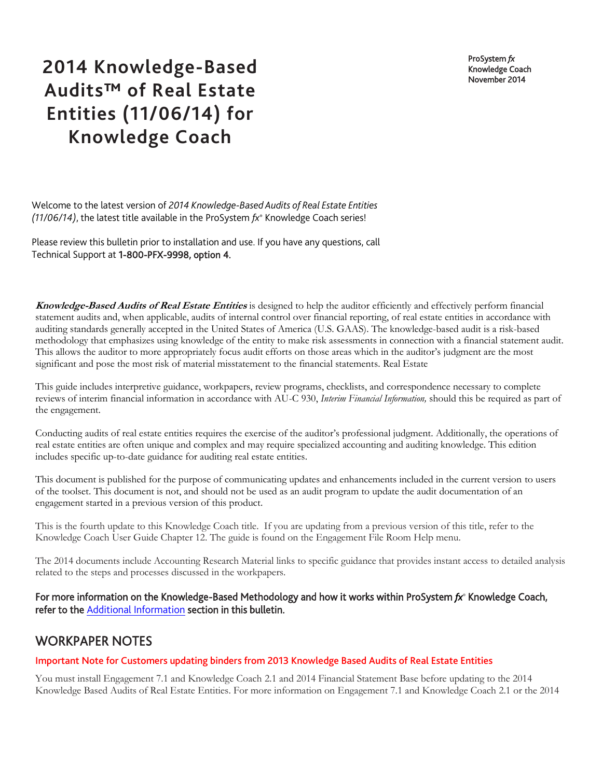ProSystem *fx* Knowledge Coach November 2014

# **2014 Knowledge-Based Audits™ of Real Estate Entities (11/06/14) for Knowledge Coach**

Welcome to the latest version of *2014 Knowledge-Based Audits of Real Estate Entities (11/06/14)*, the latest title available in the ProSystem *fx*® Knowledge Coach series!

Please review this bulletin prior to installation and use. If you have any questions, call Technical Support at 1-800-PFX-9998, option 4.

**Knowledge-Based Audits of Real Estate Entities** is designed to help the auditor efficiently and effectively perform financial statement audits and, when applicable, audits of internal control over financial reporting, of real estate entities in accordance with auditing standards generally accepted in the United States of America (U.S. GAAS). The knowledge-based audit is a risk-based methodology that emphasizes using knowledge of the entity to make risk assessments in connection with a financial statement audit. This allows the auditor to more appropriately focus audit efforts on those areas which in the auditor's judgment are the most significant and pose the most risk of material misstatement to the financial statements. Real Estate

This guide includes interpretive guidance, workpapers, review programs, checklists, and correspondence necessary to complete reviews of interim financial information in accordance with AU-C 930, *Interim Financial Information,* should this be required as part of the engagement.

Conducting audits of real estate entities requires the exercise of the auditor's professional judgment. Additionally, the operations of real estate entities are often unique and complex and may require specialized accounting and auditing knowledge. This edition includes specific up-to-date guidance for auditing real estate entities.

This document is published for the purpose of communicating updates and enhancements included in the current version to users of the toolset. This document is not, and should not be used as an audit program to update the audit documentation of an engagement started in a previous version of this product.

This is the fourth update to this Knowledge Coach title. If you are updating from a previous version of this title, refer to the Knowledge Coach User Guide Chapter 12. The guide is found on the Engagement File Room Help menu.

The 2014 documents include Accounting Research Material links to specific guidance that provides instant access to detailed analysis related to the steps and processes discussed in the workpapers.

For more information on the Knowledge-Based Methodology and how it works within ProSystem *fx*® Knowledge Coach, refer to the [Additional Information](#page-3-0) section in this bulletin.

# WORKPAPER NOTES

#### Important Note for Customers updating binders from 2013 Knowledge Based Audits of Real Estate Entities

You must install Engagement 7.1 and Knowledge Coach 2.1 and 2014 Financial Statement Base before updating to the 2014 Knowledge Based Audits of Real Estate Entities. For more information on Engagement 7.1 and Knowledge Coach 2.1 or the 2014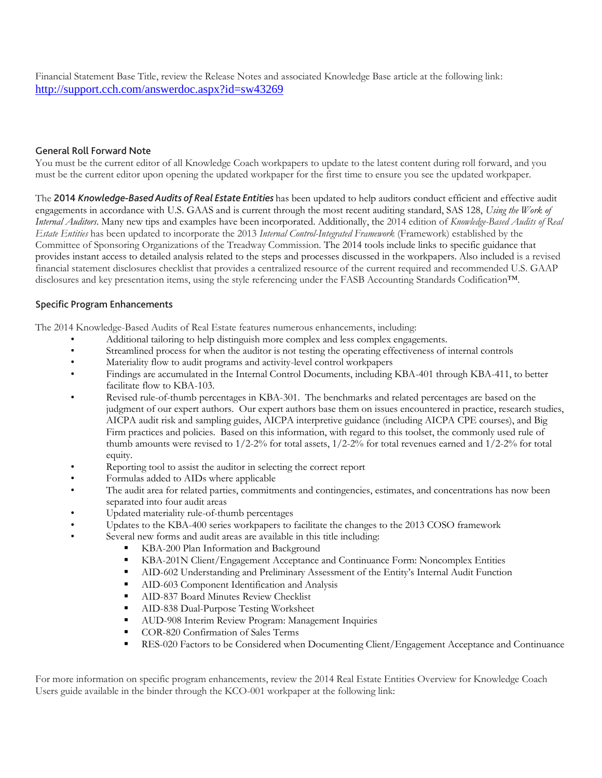Financial Statement Base Title, review the Release Notes and associated Knowledge Base article at the following link: <http://support.cch.com/answerdoc.aspx?id=sw43269>

#### General Roll Forward Note

You must be the current editor of all Knowledge Coach workpapers to update to the latest content during roll forward, and you must be the current editor upon opening the updated workpaper for the first time to ensure you see the updated workpaper.

The 2014 *Knowledge-Based Audits of Real Estate Entities* has been updated to help auditors conduct efficient and effective audit engagements in accordance with U.S. GAAS and is current through the most recent auditing standard, SAS 128, *Using the Work of Internal Auditors*. Many new tips and examples have been incorporated. Additionally, the 2014 edition of *Knowledge-Based Audits of Real Estate Entities* has been updated to incorporate the 2013 *Internal Control-Integrated Framework* (Framework) established by the Committee of Sponsoring Organizations of the Treadway Commission. The 2014 tools include links to specific guidance that provides instant access to detailed analysis related to the steps and processes discussed in the workpapers. Also included is a revised financial statement disclosures checklist that provides a centralized resource of the current required and recommended U.S. GAAP disclosures and key presentation items, using the style referencing under the FASB Accounting Standards Codification™.

#### Specific Program Enhancements

The 2014 Knowledge-Based Audits of Real Estate features numerous enhancements, including:

- Additional tailoring to help distinguish more complex and less complex engagements.
- Streamlined process for when the auditor is not testing the operating effectiveness of internal controls
- Materiality flow to audit programs and activity-level control workpapers
- Findings are accumulated in the Internal Control Documents, including KBA-401 through KBA-411, to better facilitate flow to KBA-103.
- Revised rule-of-thumb percentages in KBA-301. The benchmarks and related percentages are based on the judgment of our expert authors. Our expert authors base them on issues encountered in practice, research studies, AICPA audit risk and sampling guides, AICPA interpretive guidance (including AICPA CPE courses), and Big Firm practices and policies. Based on this information, with regard to this toolset, the commonly used rule of thumb amounts were revised to  $1/2$ -2% for total assets,  $1/2$ -2% for total revenues earned and  $1/2$ -2% for total equity.
- Reporting tool to assist the auditor in selecting the correct report
- Formulas added to AIDs where applicable
- The audit area for related parties, commitments and contingencies, estimates, and concentrations has now been separated into four audit areas
- Updated materiality rule-of-thumb percentages
- Updates to the KBA-400 series workpapers to facilitate the changes to the 2013 COSO framework
- Several new forms and audit areas are available in this title including:
	- KBA-200 Plan Information and Background
	- KBA-201N Client/Engagement Acceptance and Continuance Form: Noncomplex Entities
	- AID-602 Understanding and Preliminary Assessment of the Entity's Internal Audit Function
	- **AID-603 Component Identification and Analysis**
	- **AID-837 Board Minutes Review Checklist**
	- AID-838 Dual-Purpose Testing Worksheet
	- **AUD-908 Interim Review Program: Management Inquiries**
	- COR-820 Confirmation of Sales Terms
	- **RES-020 Factors to be Considered when Documenting Client/Engagement Acceptance and Continuance**

For more information on specific program enhancements, review the 2014 Real Estate Entities Overview for Knowledge Coach Users guide available in the binder through the KCO-001 workpaper at the following link: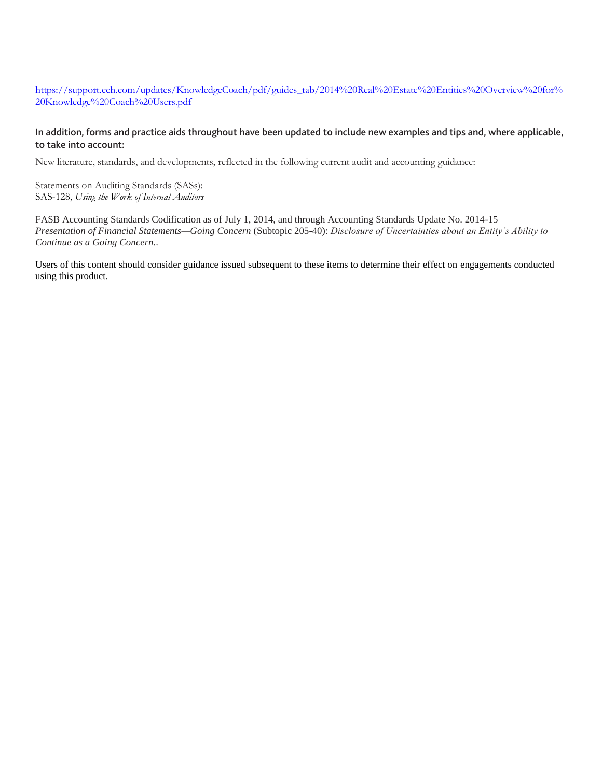https://support.cch.com/updates/KnowledgeCoach/pdf/guides\_tab/2014%20Real%20Estate%20Entities%20Overview%20for% 20Knowledge%20Coach%20Users.pdf

#### In addition, forms and practice aids throughout have been updated to include new examples and tips and, where applicable, to take into account:

New literature, standards, and developments, reflected in the following current audit and accounting guidance:

Statements on Auditing Standards (SASs): SAS-128, *Using the Work of Internal Auditors*

FASB Accounting Standards Codification as of July 1, 2014, and through Accounting Standards Update No. 2014-15—— *Presentation of Financial Statements—Going Concern* (Subtopic 205-40): *Disclosure of Uncertainties about an Entity's Ability to Continue as a Going Concern.*.

Users of this content should consider guidance issued subsequent to these items to determine their effect on engagements conducted using this product.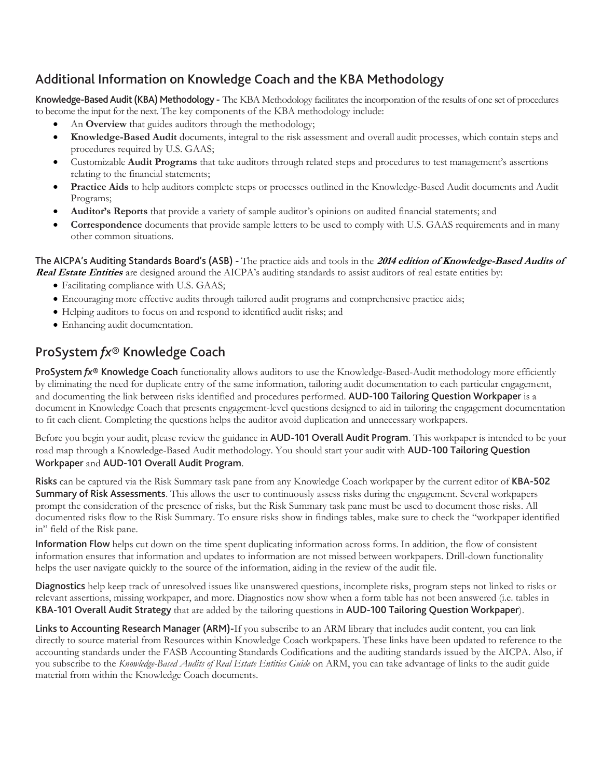# <span id="page-3-0"></span>Additional Information on Knowledge Coach and the KBA Methodology

Knowledge-Based Audit (KBA) Methodology - The KBA Methodology facilitates the incorporation of the results of one set of procedures to become the input for the next. The key components of the KBA methodology include:

- An **Overview** that guides auditors through the methodology;
- **Knowledge-Based Audit** documents, integral to the risk assessment and overall audit processes, which contain steps and procedures required by U.S. GAAS;
- Customizable **Audit Programs** that take auditors through related steps and procedures to test management's assertions relating to the financial statements;
- **Practice Aids** to help auditors complete steps or processes outlined in the Knowledge-Based Audit documents and Audit Programs;
- **Auditor's Reports** that provide a variety of sample auditor's opinions on audited financial statements; and
- **Correspondence** documents that provide sample letters to be used to comply with U.S. GAAS requirements and in many other common situations.

#### The AICPA's Auditing Standards Board's (ASB) - The practice aids and tools in the **2014 edition of Knowledge-Based Audits of Real Estate Entities** are designed around the AICPA's auditing standards to assist auditors of real estate entities by:

- Facilitating compliance with U.S. GAAS;
- Encouraging more effective audits through tailored audit programs and comprehensive practice aids;
- Helping auditors to focus on and respond to identified audit risks; and
- Enhancing audit documentation.

# ProSystem *fx*® Knowledge Coach

ProSystem  $f x^{\circ}$  Knowledge Coach functionality allows auditors to use the Knowledge-Based-Audit methodology more efficiently by eliminating the need for duplicate entry of the same information, tailoring audit documentation to each particular engagement, and documenting the link between risks identified and procedures performed. AUD-100 Tailoring Question Workpaper is a document in Knowledge Coach that presents engagement-level questions designed to aid in tailoring the engagement documentation to fit each client. Completing the questions helps the auditor avoid duplication and unnecessary workpapers.

Before you begin your audit, please review the guidance in AUD-101 Overall Audit Program. This workpaper is intended to be your road map through a Knowledge-Based Audit methodology. You should start your audit with **AUD-100 Tailoring Question** Workpaper and AUD-101 Overall Audit Program.

Risks can be captured via the Risk Summary task pane from any Knowledge Coach workpaper by the current editor of KBA-502 Summary of Risk Assessments. This allows the user to continuously assess risks during the engagement. Several workpapers prompt the consideration of the presence of risks, but the Risk Summary task pane must be used to document those risks. All documented risks flow to the Risk Summary. To ensure risks show in findings tables, make sure to check the "workpaper identified in" field of the Risk pane.

Information Flow helps cut down on the time spent duplicating information across forms. In addition, the flow of consistent information ensures that information and updates to information are not missed between workpapers. Drill-down functionality helps the user navigate quickly to the source of the information, aiding in the review of the audit file.

Diagnostics help keep track of unresolved issues like unanswered questions, incomplete risks, program steps not linked to risks or relevant assertions, missing workpaper, and more. Diagnostics now show when a form table has not been answered (i.e. tables in KBA-101 Overall Audit Strategy that are added by the tailoring questions in AUD-100 Tailoring Question Workpaper).

Links to Accounting Research Manager (ARM)-If you subscribe to an ARM library that includes audit content, you can link directly to source material from Resources within Knowledge Coach workpapers. These links have been updated to reference to the accounting standards under the FASB Accounting Standards Codifications and the auditing standards issued by the AICPA. Also, if you subscribe to the *Knowledge-Based Audits of Real Estate Entities Guide* on ARM, you can take advantage of links to the audit guide material from within the Knowledge Coach documents.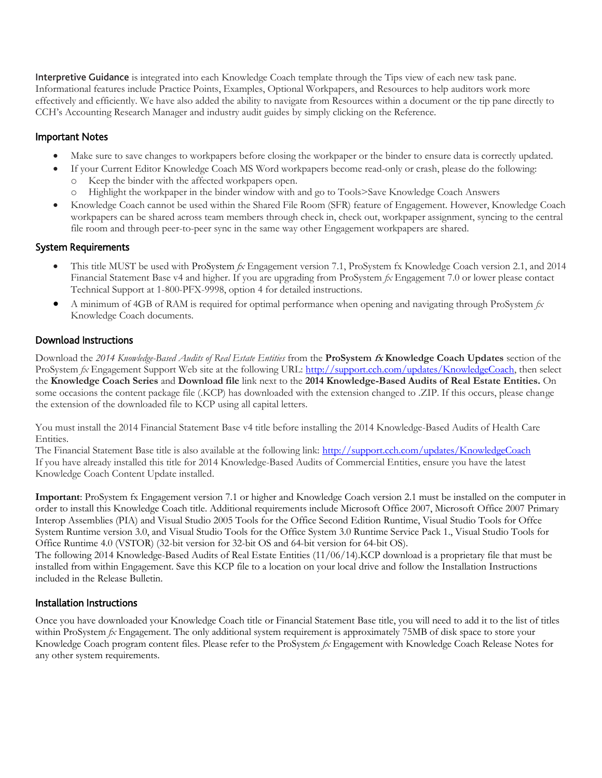Interpretive Guidance is integrated into each Knowledge Coach template through the Tips view of each new task pane. Informational features include Practice Points, Examples, Optional Workpapers, and Resources to help auditors work more effectively and efficiently. We have also added the ability to navigate from Resources within a document or the tip pane directly to CCH's Accounting Research Manager and industry audit guides by simply clicking on the Reference.

### Important Notes

- Make sure to save changes to workpapers before closing the workpaper or the binder to ensure data is correctly updated.
- If your Current Editor Knowledge Coach MS Word workpapers become read-only or crash, please do the following:
	- o Keep the binder with the affected workpapers open.
	- o Highlight the workpaper in the binder window with and go to Tools>Save Knowledge Coach Answers
- Knowledge Coach cannot be used within the Shared File Room (SFR) feature of Engagement. However, Knowledge Coach workpapers can be shared across team members through check in, check out, workpaper assignment, syncing to the central file room and through peer-to-peer sync in the same way other Engagement workpapers are shared.

### System Requirements

- This title MUST be used with ProSystem *fx* Engagement version 7.1, ProSystem fx Knowledge Coach version 2.1, and 2014 Financial Statement Base v4 and higher. If you are upgrading from ProSystem *fx* Engagement 7.0 or lower please contact Technical Support at 1-800-PFX-9998, option 4 for detailed instructions.
- A minimum of 4GB of RAM is required for optimal performance when opening and navigating through ProSystem *fx*  Knowledge Coach documents.

## Download Instructions

Download the *2014 Knowledge-Based Audits of Real Estate Entities* from the **ProSystem fx Knowledge Coach Updates** section of the ProSystem *fx* Engagement Support Web site at the following URL: [http://support.cch.com/updates/KnowledgeCoach,](http://support.cch.com/updates/KnowledgeCoach) then select the **Knowledge Coach Series** and **Download file** link next to the **2014 Knowledge-Based Audits of Real Estate Entities.** On some occasions the content package file (.KCP) has downloaded with the extension changed to .ZIP. If this occurs, please change the extension of the downloaded file to KCP using all capital letters.

You must install the 2014 Financial Statement Base v4 title before installing the 2014 Knowledge-Based Audits of Health Care Entities.

The Financial Statement Base title is also available at the following link:<http://support.cch.com/updates/KnowledgeCoach> If you have already installed this title for 2014 Knowledge-Based Audits of Commercial Entities, ensure you have the latest Knowledge Coach Content Update installed.

**Important**: ProSystem fx Engagement version 7.1 or higher and Knowledge Coach version 2.1 must be installed on the computer in order to install this Knowledge Coach title. Additional requirements include Microsoft Office 2007, Microsoft Office 2007 Primary Interop Assemblies (PIA) and Visual Studio 2005 Tools for the Office Second Edition Runtime, Visual Studio Tools for Offce System Runtime version 3.0, and Visual Studio Tools for the Office System 3.0 Runtime Service Pack 1., Visual Studio Tools for Office Runtime 4.0 (VSTOR) (32-bit version for 32-bit OS and 64-bit version for 64-bit OS).

The following 2014 Knowledge-Based Audits of Real Estate Entities (11/06/14).KCP download is a proprietary file that must be installed from within Engagement. Save this KCP file to a location on your local drive and follow the Installation Instructions included in the Release Bulletin.

#### Installation Instructions

Once you have downloaded your Knowledge Coach title or Financial Statement Base title, you will need to add it to the list of titles within ProSystem *fx* Engagement. The only additional system requirement is approximately 75MB of disk space to store your Knowledge Coach program content files. Please refer to the ProSystem *fx* Engagement with Knowledge Coach Release Notes for any other system requirements.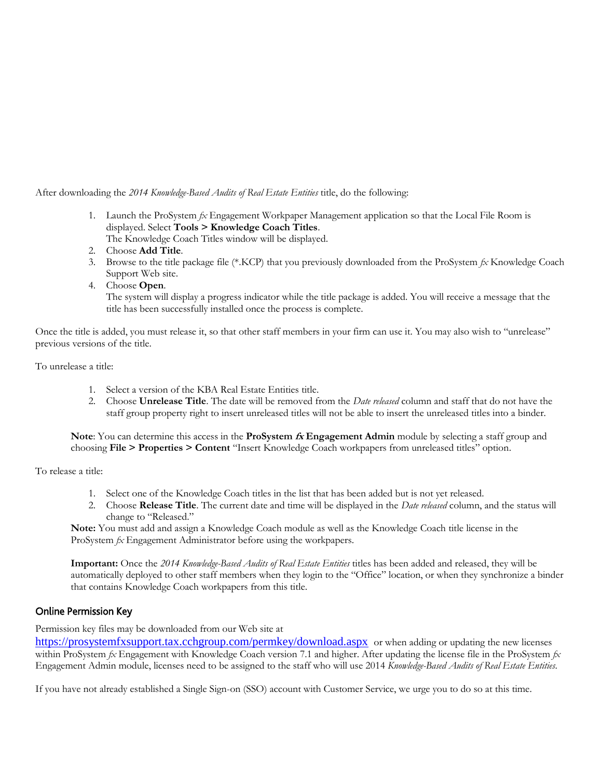After downloading the *2014 Knowledge-Based Audits of Real Estate Entities* title, do the following:

- 1. Launch the ProSystem *fx* Engagement Workpaper Management application so that the Local File Room is displayed. Select **Tools > Knowledge Coach Titles**.
	- The Knowledge Coach Titles window will be displayed.
- 2. Choose **Add Title**.
- 3. Browse to the title package file (\*.KCP) that you previously downloaded from the ProSystem *fx* Knowledge Coach Support Web site.
- 4. Choose **Open**.

The system will display a progress indicator while the title package is added. You will receive a message that the title has been successfully installed once the process is complete.

Once the title is added, you must release it, so that other staff members in your firm can use it. You may also wish to "unrelease" previous versions of the title.

To unrelease a title:

- 1. Select a version of the KBA Real Estate Entities title.
- 2. Choose **Unrelease Title**. The date will be removed from the *Date released* column and staff that do not have the staff group property right to insert unreleased titles will not be able to insert the unreleased titles into a binder.

**Note**: You can determine this access in the **ProSystem fx Engagement Admin** module by selecting a staff group and choosing **File > Properties > Content** "Insert Knowledge Coach workpapers from unreleased titles" option.

To release a title:

- 1. Select one of the Knowledge Coach titles in the list that has been added but is not yet released.
- 2. Choose **Release Title**. The current date and time will be displayed in the *Date released* column, and the status will change to "Released."

**Note:** You must add and assign a Knowledge Coach module as well as the Knowledge Coach title license in the ProSystem *fx* Engagement Administrator before using the workpapers.

**Important:** Once the *2014 Knowledge-Based Audits of Real Estate Entities* titles has been added and released, they will be automatically deployed to other staff members when they login to the "Office" location, or when they synchronize a binder that contains Knowledge Coach workpapers from this title.

## Online Permission Key

Permission key files may be downloaded from our Web site at

<https://prosystemfxsupport.tax.cchgroup.com/permkey/download.aspx> or when adding or updating the new licenses within ProSystem *fx* Engagement with Knowledge Coach version 7.1 and higher. After updating the license file in the ProSystem *fx*  Engagement Admin module, licenses need to be assigned to the staff who will use 2014 *Knowledge-Based Audits of Real Estate Entities*.

If you have not already established a Single Sign-on (SSO) account with Customer Service, we urge you to do so at this time.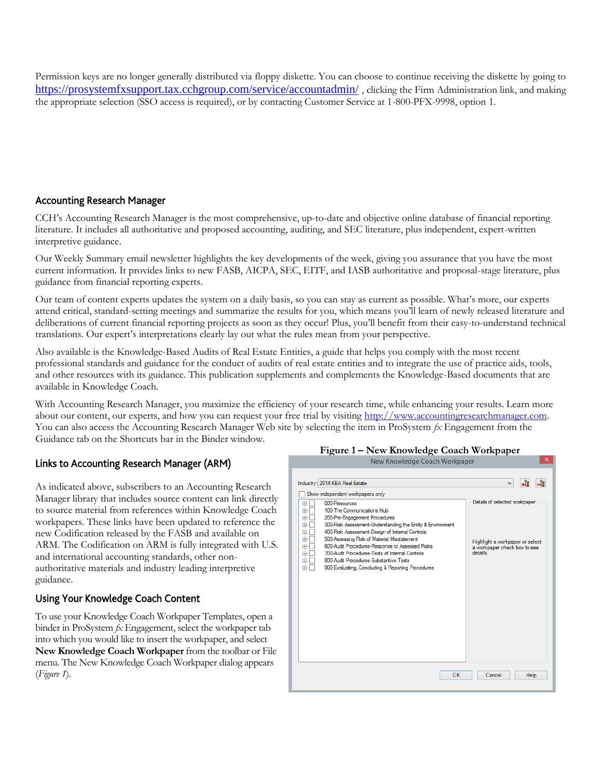Permission keys are no longer generally distributed via floppy diskette. You can choose to continue receiving the diskette by going to <https://prosystemfxsupport.tax.cchgroup.com/service/accountadmin/>, clicking the Firm Administration link, and making the appropriate selection (SSO access is required), or by contacting Customer Service at 1-800-PFX-9998, option 1.

## Accounting Research Manager

CCH's Accounting Research Manager is the most comprehensive, up-to-date and objective online database of financial reporting literature. It includes all authoritative and proposed accounting, auditing, and SEC literature, plus independent, expert-written interpretive guidance.

Our Weekly Summary email newsletter highlights the key developments of the week, giving you assurance that you have the most current information. It provides links to new FASB, AICPA, SEC, EITF, and IASB authoritative and proposal-stage literature, plus guidance from financial reporting experts.

Our team of content experts updates the system on a daily basis, so you can stay as current as possible. What's more, our experts attend critical, standard-setting meetings and summarize the results for you, which means you'll learn of newly released literature and deliberations of current financial reporting projects as soon as they occur! Plus, you'll benefit from their easy-to-understand technical translations. Our expert's interpretations clearly lay out what the rules mean from your perspective.

Also available is the Knowledge-Based Audits of Real Estate Entities, a guide that helps you comply with the most recent professional standards and guidance for the conduct of audits of real estate entities and to integrate the use of practice aids, tools, and other resources with its guidance. This publication supplements and complements the Knowledge-Based documents that are available in Knowledge Coach.

With Accounting Research Manager, you maximize the efficiency of your research time, while enhancing your results. Learn more about our content, our experts, and how you can request your free trial by visiting http://www.accountingresearchmanager.com. You can also access the Accounting Research Manager Web site by selecting the item in ProSystem *fx* Engagement from the Guidance tab on the Shortcuts bar in the Binder window.

# Links to Accounting Research Manager (ARM)

As indicated above, subscribers to an Accounting Research Manager library that includes source content can link directly to source material from references within Knowledge Coach workpapers. These links have been updated to reference the new Codification released by the FASB and available on ARM. The Codification on ARM is fully integrated with U.S. and international accounting standards, other nonauthoritative materials and industry leading interpretive guidance.

# Using Your Knowledge Coach Content

To use your Knowledge Coach Workpaper Templates, open a binder in ProSystem *fx* Engagement, select the workpaper tab into which you would like to insert the workpaper, and select **New Knowledge Coach Workpaper** from the toolbar or File menu. The New Knowledge Coach Workpaper dialog appears (*Figure 1*).

#### **Figure 1 – New Knowledge Coach Workpaper** New Knowledge Coach Workpaper

 $\overline{\mathsf{x}}$